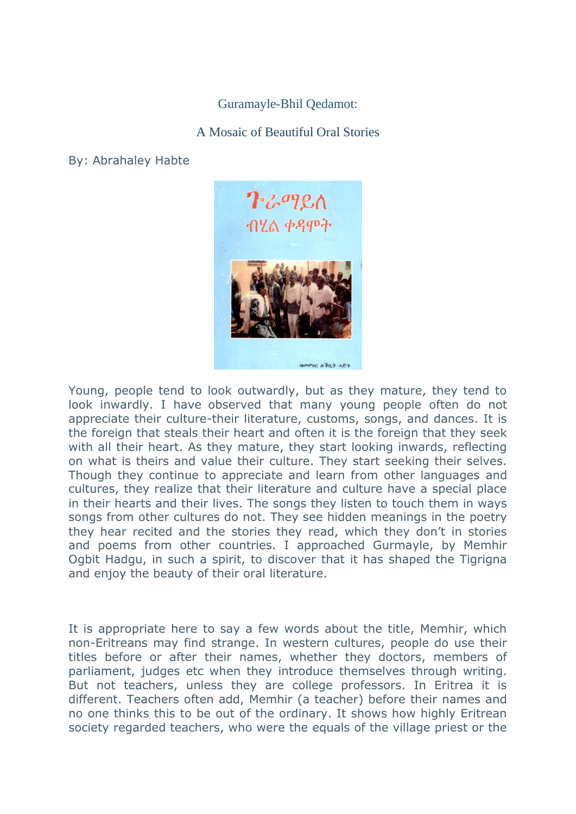[Guramayle-Bhil Qedamot:](http://www.shabait.com/about-eritrea/art-a-sport/26152-guramayle-bhil-qedamot-a-mosaic-of-beautiful-oral-stories) 

A Mosaic of Beautiful Oral Stories

By: Abrahaley Habte



Young, people tend to look outwardly, but as they mature, they tend to look inwardly. I have observed that many young people often do not appreciate their culture-their literature, customs, songs, and dances. It is the foreign that steals their heart and often it is the foreign that they seek with all their heart. As they mature, they start looking inwards, reflecting on what is theirs and value their culture. They start seeking their selves. Though they continue to appreciate and learn from other languages and cultures, they realize that their literature and culture have a special place in their hearts and their lives. The songs they listen to touch them in ways songs from other cultures do not. They see hidden meanings in the poetry they hear recited and the stories they read, which they don't in stories and poems from other countries. I approached Gurmayle, by Memhir Ogbit Hadgu, in such a spirit, to discover that it has shaped the Tigrigna and enjoy the beauty of their oral literature.

It is appropriate here to say a few words about the title, Memhir, which non-Eritreans may find strange. In western cultures, people do use their titles before or after their names, whether they doctors, members of parliament, judges etc when they introduce themselves through writing. But not teachers, unless they are college professors. In Eritrea it is different. Teachers often add, Memhir (a teacher) before their names and no one thinks this to be out of the ordinary. It shows how highly Eritrean society regarded teachers, who were the equals of the village priest or the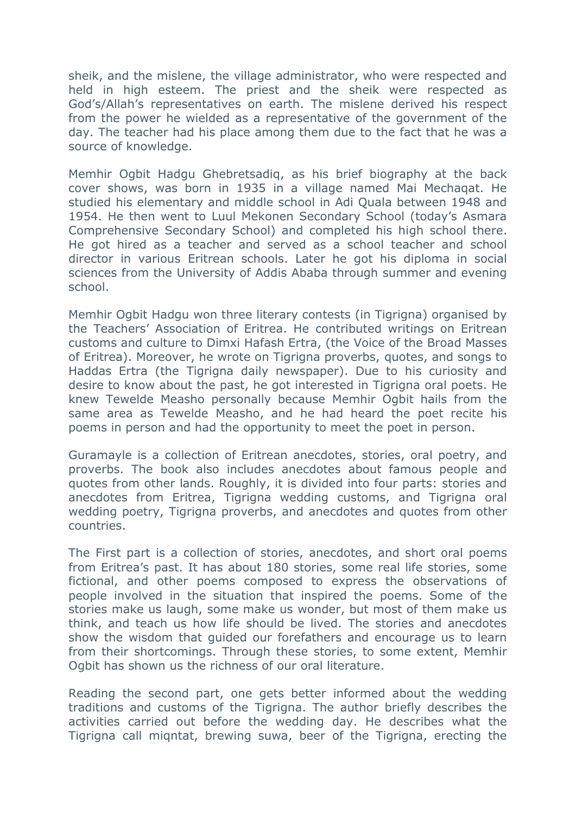sheik, and the mislene, the village administrator, who were respected and held in high esteem. The priest and the sheik were respected as God's/Allah's representatives on earth. The mislene derived his respect from the power he wielded as a representative of the government of the day. The teacher had his place among them due to the fact that he was a source of knowledge.

Memhir Ogbit Hadgu Ghebretsadiq, as his brief biography at the back cover shows, was born in 1935 in a village named Mai Mechaqat. He studied his elementary and middle school in Adi Quala between 1948 and 1954. He then went to Luul Mekonen Secondary School (today's Asmara Comprehensive Secondary School) and completed his high school there. He got hired as a teacher and served as a school teacher and school director in various Eritrean schools. Later he got his diploma in social sciences from the University of Addis Ababa through summer and evening school.

Memhir Ogbit Hadgu won three literary contests (in Tigrigna) organised by the Teachers' Association of Eritrea. He contributed writings on Eritrean customs and culture to Dimxi Hafash Ertra, (the Voice of the Broad Masses of Eritrea). Moreover, he wrote on Tigrigna proverbs, quotes, and songs to Haddas Ertra (the Tigrigna daily newspaper). Due to his curiosity and desire to know about the past, he got interested in Tigrigna oral poets. He knew Tewelde Measho personally because Memhir Ogbit hails from the same area as Tewelde Measho, and he had heard the poet recite his poems in person and had the opportunity to meet the poet in person.

Guramayle is a collection of Eritrean anecdotes, stories, oral poetry, and proverbs. The book also includes anecdotes about famous people and quotes from other lands. Roughly, it is divided into four parts: stories and anecdotes from Eritrea, Tigrigna wedding customs, and Tigrigna oral wedding poetry, Tigrigna proverbs, and anecdotes and quotes from other countries.

The First part is a collection of stories, anecdotes, and short oral poems from Eritrea's past. It has about 180 stories, some real life stories, some fictional, and other poems composed to express the observations of people involved in the situation that inspired the poems. Some of the stories make us laugh, some make us wonder, but most of them make us think, and teach us how life should be lived. The stories and anecdotes show the wisdom that guided our forefathers and encourage us to learn from their shortcomings. Through these stories, to some extent, Memhir Ogbit has shown us the richness of our oral literature.

Reading the second part, one gets better informed about the wedding traditions and customs of the Tigrigna. The author briefly describes the activities carried out before the wedding day. He describes what the Tigrigna call miqntat, brewing suwa, beer of the Tigrigna, erecting the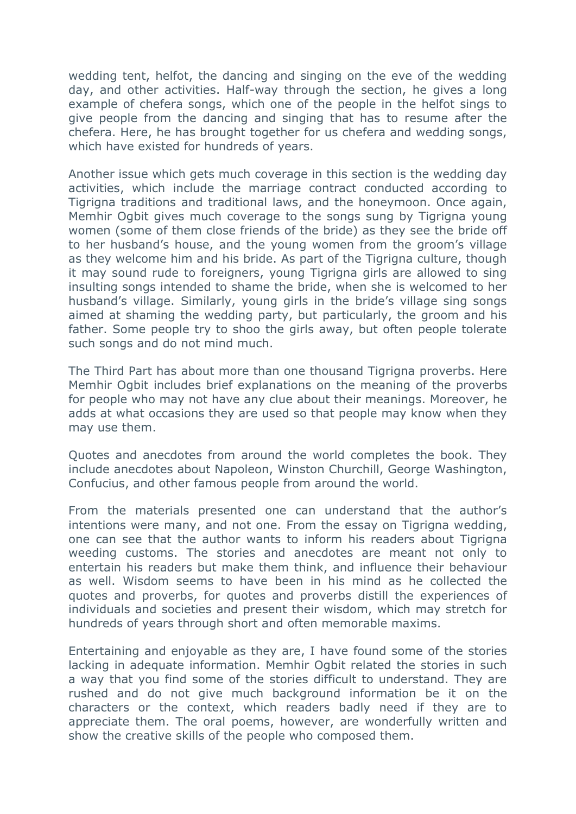wedding tent, helfot, the dancing and singing on the eve of the wedding day, and other activities. Half-way through the section, he gives a long example of chefera songs, which one of the people in the helfot sings to give people from the dancing and singing that has to resume after the chefera. Here, he has brought together for us chefera and wedding songs, which have existed for hundreds of years.

Another issue which gets much coverage in this section is the wedding day activities, which include the marriage contract conducted according to Tigrigna traditions and traditional laws, and the honeymoon. Once again, Memhir Ogbit gives much coverage to the songs sung by Tigrigna young women (some of them close friends of the bride) as they see the bride off to her husband's house, and the young women from the groom's village as they welcome him and his bride. As part of the Tigrigna culture, though it may sound rude to foreigners, young Tigrigna girls are allowed to sing insulting songs intended to shame the bride, when she is welcomed to her husband's village. Similarly, young girls in the bride's village sing songs aimed at shaming the wedding party, but particularly, the groom and his father. Some people try to shoo the girls away, but often people tolerate such songs and do not mind much.

The Third Part has about more than one thousand Tigrigna proverbs. Here Memhir Ogbit includes brief explanations on the meaning of the proverbs for people who may not have any clue about their meanings. Moreover, he adds at what occasions they are used so that people may know when they may use them.

Quotes and anecdotes from around the world completes the book. They include anecdotes about Napoleon, Winston Churchill, George Washington, Confucius, and other famous people from around the world.

From the materials presented one can understand that the author's intentions were many, and not one. From the essay on Tigrigna wedding, one can see that the author wants to inform his readers about Tigrigna weeding customs. The stories and anecdotes are meant not only to entertain his readers but make them think, and influence their behaviour as well. Wisdom seems to have been in his mind as he collected the quotes and proverbs, for quotes and proverbs distill the experiences of individuals and societies and present their wisdom, which may stretch for hundreds of years through short and often memorable maxims.

Entertaining and enjoyable as they are, I have found some of the stories lacking in adequate information. Memhir Ogbit related the stories in such a way that you find some of the stories difficult to understand. They are rushed and do not give much background information be it on the characters or the context, which readers badly need if they are to appreciate them. The oral poems, however, are wonderfully written and show the creative skills of the people who composed them.